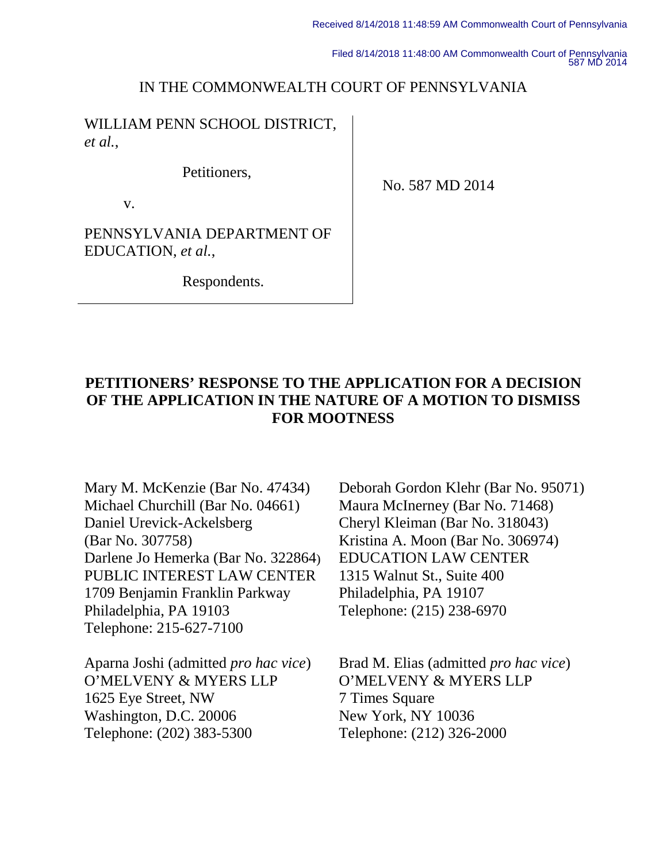Filed 8/14/2018 11:48:00 AM Commonwealth Court of Pennsylvania 587 MD 2014

## IN THE COMMONWEALTH COURT OF PENNSYLVANIA

WILLIAM PENN SCHOOL DISTRICT, *et al.*,

Petitioners,

v.

No. 587 MD 2014

PENNSYLVANIA DEPARTMENT OF EDUCATION, *et al.*,

Respondents.

# **PETITIONERS' RESPONSE TO THE APPLICATION FOR A DECISION OF THE APPLICATION IN THE NATURE OF A MOTION TO DISMISS FOR MOOTNESS**

Mary M. McKenzie (Bar No. 47434) Michael Churchill (Bar No. 04661) Daniel Urevick-Ackelsberg (Bar No. 307758) Darlene Jo Hemerka (Bar No. 322864) PUBLIC INTEREST LAW CENTER 1709 Benjamin Franklin Parkway Philadelphia, PA 19103 Telephone: 215-627-7100

Aparna Joshi (admitted *pro hac vice*) O'MELVENY & MYERS LLP 1625 Eye Street, NW Washington, D.C. 20006 Telephone: (202) 383-5300

Deborah Gordon Klehr (Bar No. 95071) Maura McInerney (Bar No. 71468) Cheryl Kleiman (Bar No. 318043) Kristina A. Moon (Bar No. 306974) EDUCATION LAW CENTER 1315 Walnut St., Suite 400 Philadelphia, PA 19107 Telephone: (215) 238-6970

Brad M. Elias (admitted *pro hac vice*) O'MELVENY & MYERS LLP 7 Times Square New York, NY 10036 Telephone: (212) 326-2000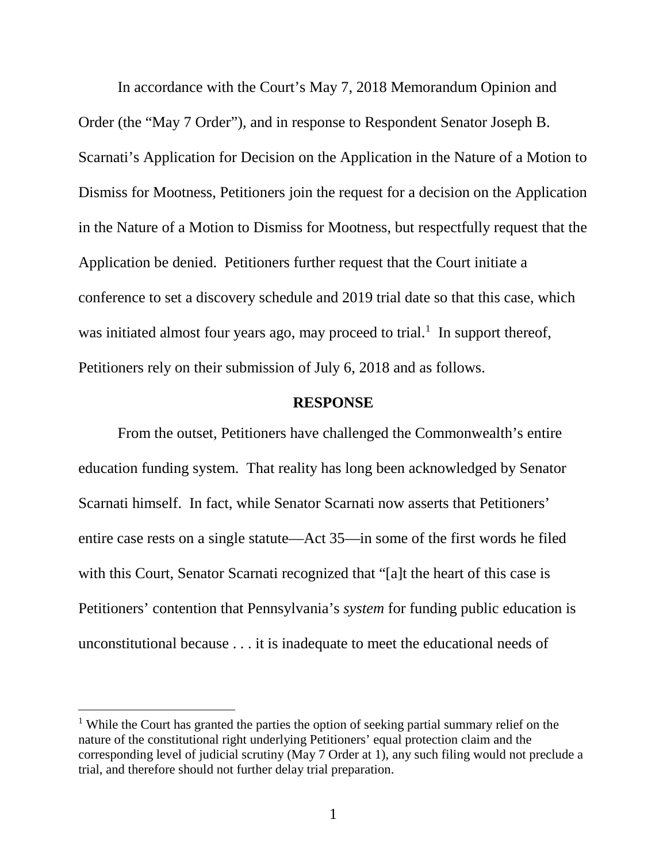In accordance with the Court's May 7, 2018 Memorandum Opinion and Order (the "May 7 Order"), and in response to Respondent Senator Joseph B. Scarnati's Application for Decision on the Application in the Nature of a Motion to Dismiss for Mootness, Petitioners join the request for a decision on the Application in the Nature of a Motion to Dismiss for Mootness, but respectfully request that the Application be denied. Petitioners further request that the Court initiate a conference to set a discovery schedule and 2019 trial date so that this case, which was initiated almost four years ago, may proceed to trial.<sup>[1](#page-1-0)</sup> In support thereof, Petitioners rely on their submission of July 6, 2018 and as follows.

#### **RESPONSE**

From the outset, Petitioners have challenged the Commonwealth's entire education funding system. That reality has long been acknowledged by Senator Scarnati himself. In fact, while Senator Scarnati now asserts that Petitioners' entire case rests on a single statute—Act 35—in some of the first words he filed with this Court, Senator Scarnati recognized that "[a]t the heart of this case is Petitioners' contention that Pennsylvania's *system* for funding public education is unconstitutional because . . . it is inadequate to meet the educational needs of

<span id="page-1-0"></span><sup>&</sup>lt;sup>1</sup> While the Court has granted the parties the option of seeking partial summary relief on the nature of the constitutional right underlying Petitioners' equal protection claim and the corresponding level of judicial scrutiny (May 7 Order at 1), any such filing would not preclude a trial, and therefore should not further delay trial preparation.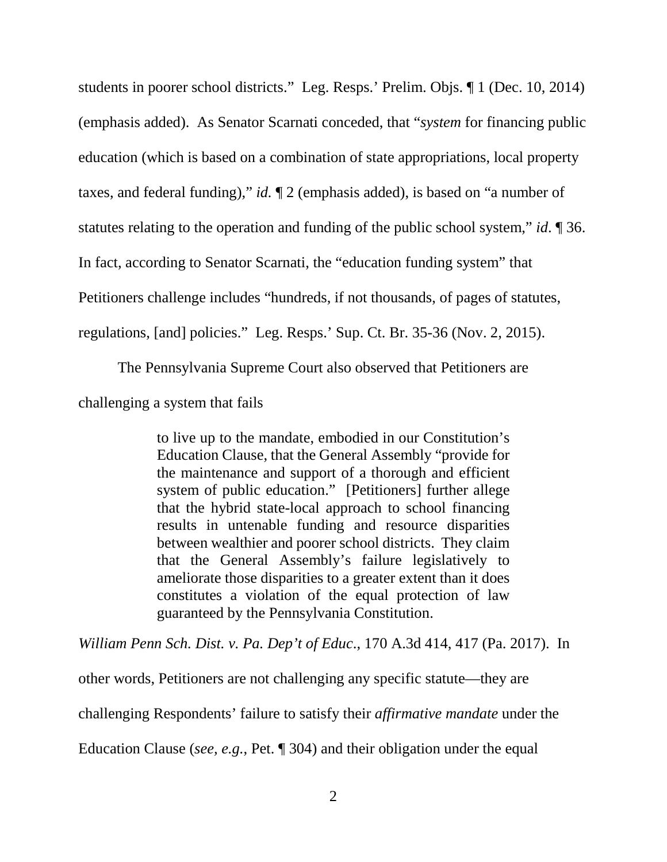students in poorer school districts." Leg. Resps.' Prelim. Objs. ¶ 1 (Dec. 10, 2014) (emphasis added). As Senator Scarnati conceded, that "*system* for financing public education (which is based on a combination of state appropriations, local property taxes, and federal funding)," *id.* ¶ 2 (emphasis added), is based on "a number of statutes relating to the operation and funding of the public school system," *id*. ¶ 36. In fact, according to Senator Scarnati, the "education funding system" that Petitioners challenge includes "hundreds, if not thousands, of pages of statutes, regulations, [and] policies." Leg. Resps.' Sup. Ct. Br. 35-36 (Nov. 2, 2015).

The Pennsylvania Supreme Court also observed that Petitioners are challenging a system that fails

> to live up to the mandate, embodied in our Constitution's Education Clause, that the General Assembly "provide for the maintenance and support of a thorough and efficient system of public education." [Petitioners] further allege that the hybrid state-local approach to school financing results in untenable funding and resource disparities between wealthier and poorer school districts. They claim that the General Assembly's failure legislatively to ameliorate those disparities to a greater extent than it does constitutes a violation of the equal protection of law guaranteed by the Pennsylvania Constitution.

*William Penn Sch. Dist. v. Pa. Dep't of Educ*., 170 A.3d 414, 417 (Pa. 2017). In

other words, Petitioners are not challenging any specific statute—they are

challenging Respondents' failure to satisfy their *affirmative mandate* under the

Education Clause (*see, e.g.*, Pet. ¶ 304) and their obligation under the equal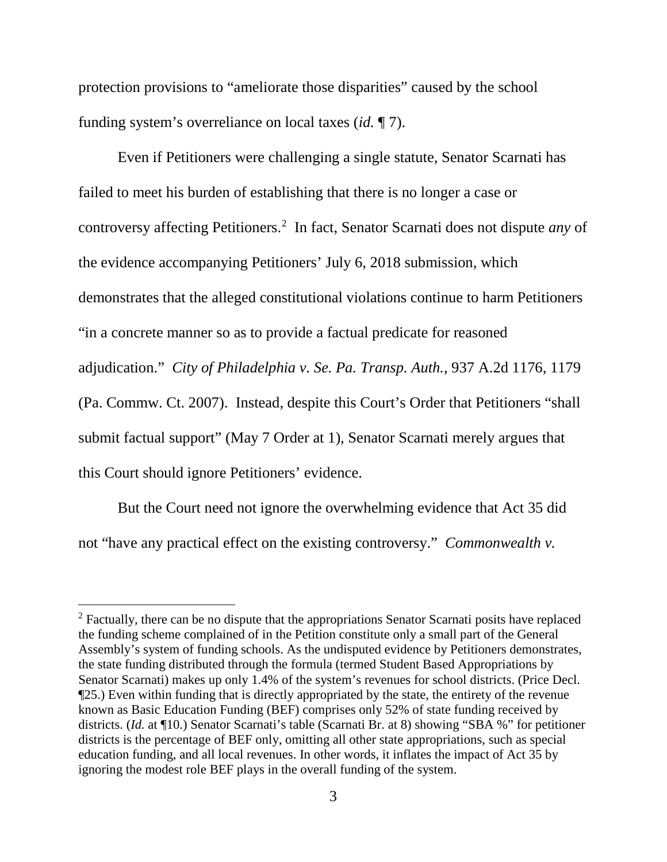protection provisions to "ameliorate those disparities" caused by the school funding system's overreliance on local taxes (*id.* ¶ 7).

Even if Petitioners were challenging a single statute, Senator Scarnati has failed to meet his burden of establishing that there is no longer a case or controversy affecting Petitioners.[2](#page-3-0) In fact, Senator Scarnati does not dispute *any* of the evidence accompanying Petitioners' July 6, 2018 submission, which demonstrates that the alleged constitutional violations continue to harm Petitioners "in a concrete manner so as to provide a factual predicate for reasoned adjudication." *City of Philadelphia v. Se. Pa. Transp. Auth.*, 937 A.2d 1176, 1179 (Pa. Commw. Ct. 2007). Instead, despite this Court's Order that Petitioners "shall submit factual support" (May 7 Order at 1), Senator Scarnati merely argues that this Court should ignore Petitioners' evidence.

But the Court need not ignore the overwhelming evidence that Act 35 did not "have any practical effect on the existing controversy." *Commonwealth v.* 

<span id="page-3-0"></span><sup>&</sup>lt;sup>2</sup> Factually, there can be no dispute that the appropriations Senator Scarnati posits have replaced the funding scheme complained of in the Petition constitute only a small part of the General Assembly's system of funding schools. As the undisputed evidence by Petitioners demonstrates, the state funding distributed through the formula (termed Student Based Appropriations by Senator Scarnati) makes up only 1.4% of the system's revenues for school districts. (Price Decl. ¶25.) Even within funding that is directly appropriated by the state, the entirety of the revenue known as Basic Education Funding (BEF) comprises only 52% of state funding received by districts. (*Id.* at ¶10.) Senator Scarnati's table (Scarnati Br. at 8) showing "SBA %" for petitioner districts is the percentage of BEF only, omitting all other state appropriations, such as special education funding, and all local revenues. In other words, it inflates the impact of Act 35 by ignoring the modest role BEF plays in the overall funding of the system.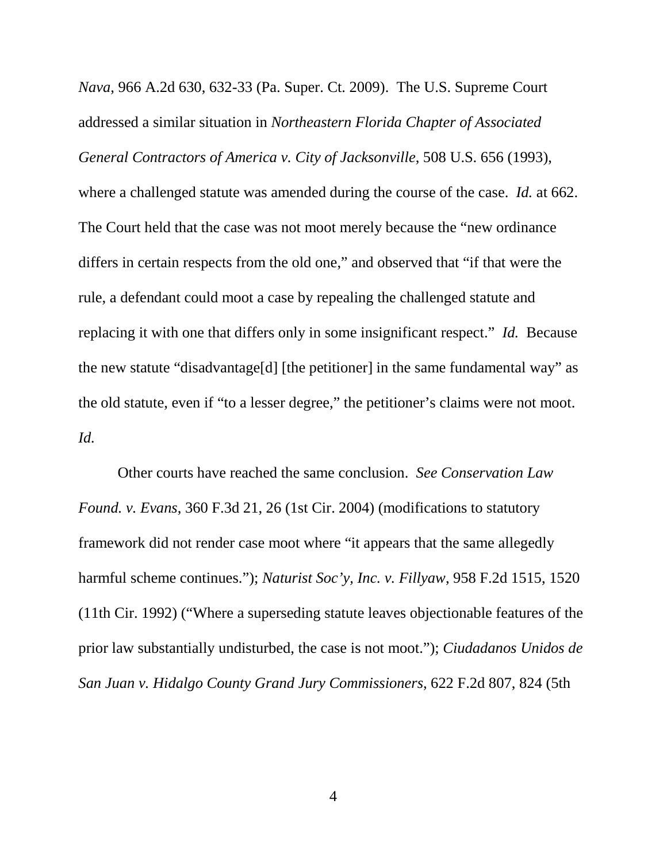*Nava*, 966 A.2d 630, 632-33 (Pa. Super. Ct. 2009). The U.S. Supreme Court addressed a similar situation in *Northeastern Florida Chapter of Associated General Contractors of America v. City of Jacksonville*, 508 U.S. 656 (1993), where a challenged statute was amended during the course of the case. *Id.* at 662. The Court held that the case was not moot merely because the "new ordinance differs in certain respects from the old one," and observed that "if that were the rule, a defendant could moot a case by repealing the challenged statute and replacing it with one that differs only in some insignificant respect." *Id.* Because the new statute "disadvantage[d] [the petitioner] in the same fundamental way" as the old statute, even if "to a lesser degree," the petitioner's claims were not moot. *Id.* 

Other courts have reached the same conclusion. *See Conservation Law Found. v. Evans*, 360 F.3d 21, 26 (1st Cir. 2004) (modifications to statutory framework did not render case moot where "it appears that the same allegedly harmful scheme continues."); *Naturist Soc'y, Inc. v. Fillyaw*, 958 F.2d 1515, 1520 (11th Cir. 1992) ("Where a superseding statute leaves objectionable features of the prior law substantially undisturbed, the case is not moot."); *Ciudadanos Unidos de San Juan v. Hidalgo County Grand Jury Commissioners*, 622 F.2d 807, 824 (5th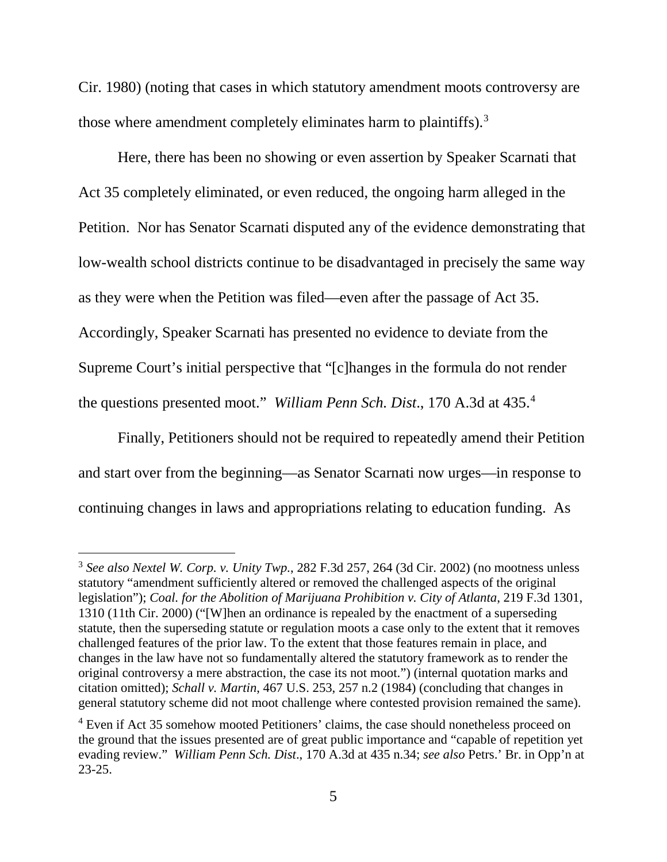Cir. 1980) (noting that cases in which statutory amendment moots controversy are those where amendment completely eliminates harm to plaintiffs). $3$ 

Here, there has been no showing or even assertion by Speaker Scarnati that Act 35 completely eliminated, or even reduced, the ongoing harm alleged in the Petition. Nor has Senator Scarnati disputed any of the evidence demonstrating that low-wealth school districts continue to be disadvantaged in precisely the same way as they were when the Petition was filed—even after the passage of Act 35. Accordingly, Speaker Scarnati has presented no evidence to deviate from the Supreme Court's initial perspective that "[c]hanges in the formula do not render the questions presented moot." *William Penn Sch. Dist*., 170 A.3d at 435.[4](#page-5-1)

Finally, Petitioners should not be required to repeatedly amend their Petition and start over from the beginning—as Senator Scarnati now urges—in response to continuing changes in laws and appropriations relating to education funding. As

<span id="page-5-0"></span> <sup>3</sup> *See also Nextel W. Corp. v. Unity Twp.*, 282 F.3d 257, 264 (3d Cir. 2002) (no mootness unless statutory "amendment sufficiently altered or removed the challenged aspects of the original legislation"); *Coal. for the Abolition of Marijuana Prohibition v. City of Atlanta*, 219 F.3d 1301, 1310 (11th Cir. 2000) ("[W]hen an ordinance is repealed by the enactment of a superseding statute, then the superseding statute or regulation moots a case only to the extent that it removes challenged features of the prior law. To the extent that those features remain in place, and changes in the law have not so fundamentally altered the statutory framework as to render the original controversy a mere abstraction, the case its not moot.") (internal quotation marks and citation omitted); *Schall v. Martin*, 467 U.S. 253, 257 n.2 (1984) (concluding that changes in general statutory scheme did not moot challenge where contested provision remained the same).

<span id="page-5-1"></span><sup>&</sup>lt;sup>4</sup> Even if Act 35 somehow mooted Petitioners' claims, the case should nonetheless proceed on the ground that the issues presented are of great public importance and "capable of repetition yet evading review." *William Penn Sch. Dist*., 170 A.3d at 435 n.34; *see also* Petrs.' Br. in Opp'n at 23-25.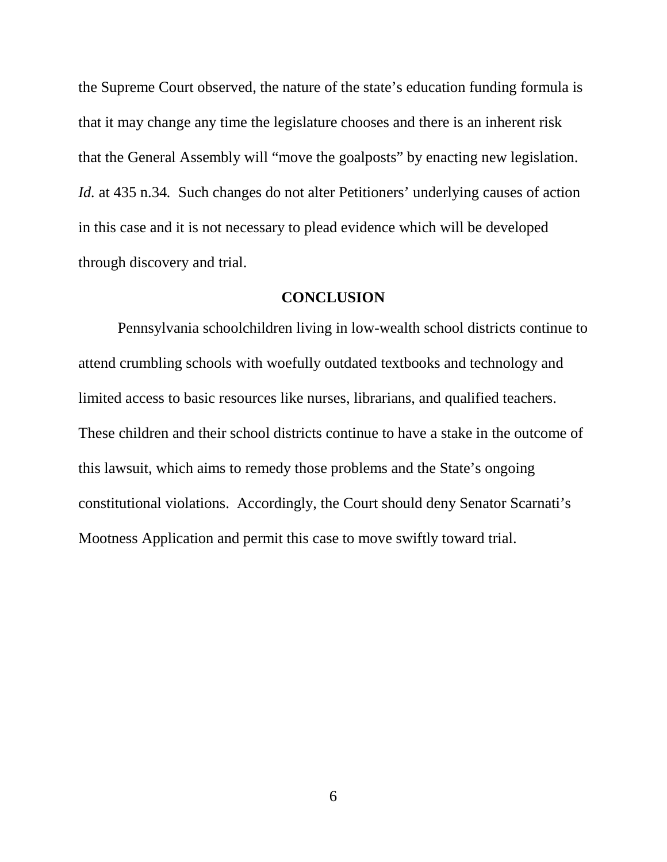the Supreme Court observed, the nature of the state's education funding formula is that it may change any time the legislature chooses and there is an inherent risk that the General Assembly will "move the goalposts" by enacting new legislation. *Id.* at 435 n.34*.* Such changes do not alter Petitioners' underlying causes of action in this case and it is not necessary to plead evidence which will be developed through discovery and trial.

### **CONCLUSION**

Pennsylvania schoolchildren living in low-wealth school districts continue to attend crumbling schools with woefully outdated textbooks and technology and limited access to basic resources like nurses, librarians, and qualified teachers. These children and their school districts continue to have a stake in the outcome of this lawsuit, which aims to remedy those problems and the State's ongoing constitutional violations. Accordingly, the Court should deny Senator Scarnati's Mootness Application and permit this case to move swiftly toward trial.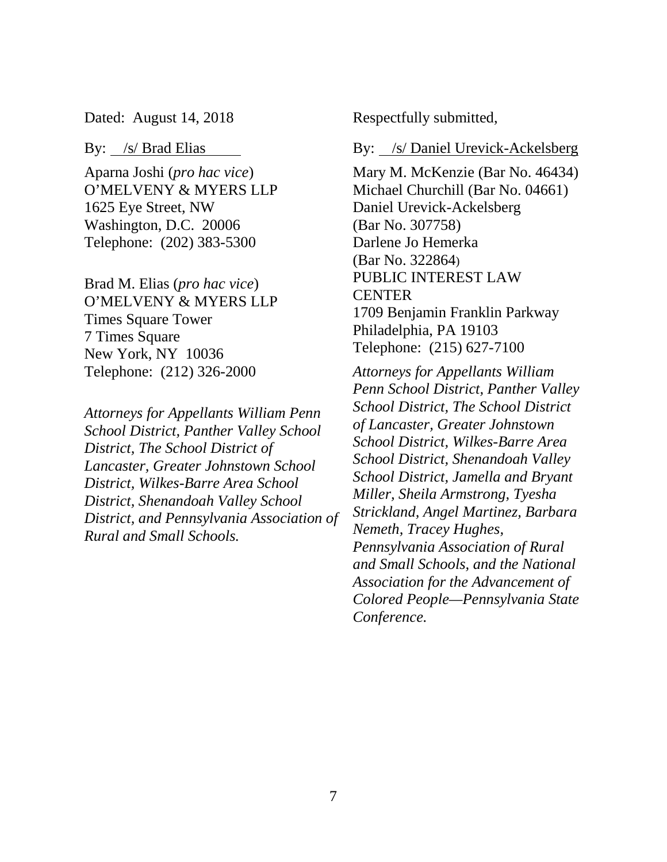Dated: August 14, 2018

#### By: /s/ Brad Elias

Aparna Joshi (*pro hac vice*) O'MELVENY & MYERS LLP 1625 Eye Street, NW Washington, D.C. 20006 Telephone: (202) 383-5300

Brad M. Elias (*pro hac vice*) O'MELVENY & MYERS LLP Times Square Tower 7 Times Square New York, NY 10036 Telephone: (212) 326-2000

*Attorneys for Appellants William Penn School District, Panther Valley School District, The School District of Lancaster, Greater Johnstown School District, Wilkes-Barre Area School District, Shenandoah Valley School District, and Pennsylvania Association of Rural and Small Schools.* 

Respectfully submitted,

By: /s/ Daniel Urevick-Ackelsberg

Mary M. McKenzie (Bar No. 46434) Michael Churchill (Bar No. 04661) Daniel Urevick-Ackelsberg (Bar No. 307758) Darlene Jo Hemerka (Bar No. 322864) PUBLIC INTEREST LAW **CENTER** 1709 Benjamin Franklin Parkway Philadelphia, PA 19103 Telephone: (215) 627-7100

*Attorneys for Appellants William Penn School District, Panther Valley School District, The School District of Lancaster, Greater Johnstown School District, Wilkes-Barre Area School District, Shenandoah Valley School District, Jamella and Bryant Miller, Sheila Armstrong, Tyesha Strickland, Angel Martinez, Barbara Nemeth, Tracey Hughes, Pennsylvania Association of Rural and Small Schools, and the National Association for the Advancement of Colored People—Pennsylvania State Conference.*